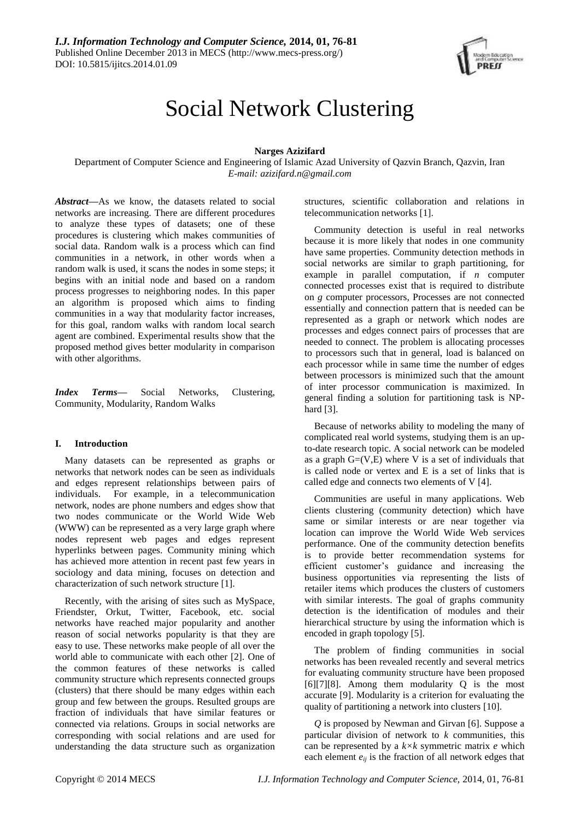

# Social Network Clustering

# **Narges Azizifard**

Department of Computer Science and Engineering of Islamic Azad University of Qazvin Branch, Qazvin, Iran *E-mail: azizifard.n@gmail.com*

*Abstract***—**As we know, the datasets related to social networks are increasing. There are different procedures to analyze these types of datasets; one of these procedures is clustering which makes communities of social data. Random walk is a process which can find communities in a network, in other words when a random walk is used, it scans the nodes in some steps; it begins with an initial node and based on a random process progresses to neighboring nodes. In this paper an algorithm is proposed which aims to finding communities in a way that modularity factor increases, for this goal, random walks with random local search agent are combined. Experimental results show that the proposed method gives better modularity in comparison with other algorithms.

*Index Terms***—** Social Networks, Clustering, Community, Modularity, Random Walks

## **I. Introduction**

Many datasets can be represented as graphs or networks that network nodes can be seen as individuals and edges represent relationships between pairs of individuals. For example, in a telecommunication network, nodes are phone numbers and edges show that two nodes communicate or the World Wide Web (WWW) can be represented as a very large graph where nodes represent web pages and edges represent hyperlinks between pages. Community mining which has achieved more attention in recent past few years in sociology and data mining, focuses on detection and characterization of such network structure [1].

Recently, with the arising of sites such as MySpace, Friendster, Orkut, Twitter, Facebook, etc. social networks have reached major popularity and another reason of social networks popularity is that they are easy to use. These networks make people of all over the world able to communicate with each other [2]. One of the common features of these networks is called community structure which represents connected groups (clusters) that there should be many edges within each group and few between the groups. Resulted groups are fraction of individuals that have similar features or connected via relations. Groups in social networks are corresponding with social relations and are used for understanding the data structure such as organization

structures, scientific collaboration and relations in telecommunication networks [1].

Community detection is useful in real networks because it is more likely that nodes in one community have same properties. Community detection methods in social networks are similar to graph partitioning, for example in parallel computation, if *n* computer connected processes exist that is required to distribute on *g* computer processors, Processes are not connected essentially and connection pattern that is needed can be represented as a graph or network which nodes are processes and edges connect pairs of processes that are needed to connect. The problem is allocating processes to processors such that in general, load is balanced on each processor while in same time the number of edges between processors is minimized such that the amount of inter processor communication is maximized. In general finding a solution for partitioning task is NPhard [3].

Because of networks ability to modeling the many of complicated real world systems, studying them is an upto-date research topic. A social network can be modeled as a graph  $G=(V,E)$  where V is a set of individuals that is called node or vertex and E is a set of links that is called edge and connects two elements of V [4].

Communities are useful in many applications. Web clients clustering (community detection) which have same or similar interests or are near together via location can improve the World Wide Web services performance. One of the community detection benefits is to provide better recommendation systems for efficient customer's guidance and increasing the business opportunities via representing the lists of retailer items which produces the clusters of customers with similar interests. The goal of graphs community detection is the identification of modules and their hierarchical structure by using the information which is encoded in graph topology [5].

The problem of finding communities in social networks has been revealed recently and several metrics for evaluating community structure have been proposed [6][7][8]. Among them modularity Q is the most accurate [9]. Modularity is a criterion for evaluating the quality of partitioning a network into clusters [10].

*Q* is proposed by Newman and Girvan [6]. Suppose a particular division of network to *k* communities, this can be represented by a *k×k* symmetric matrix *e* which each element *eij* is the fraction of all network edges that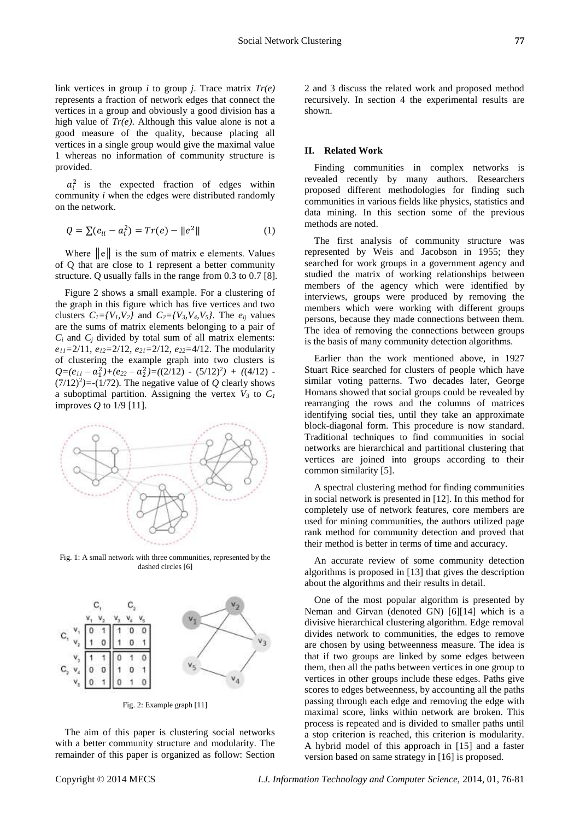link vertices in group *i* to group *j*. Trace matrix *Tr(e)* represents a fraction of network edges that connect the vertices in a group and obviously a good division has a high value of *Tr(e)*. Although this value alone is not a good measure of the quality, because placing all vertices in a single group would give the maximal value 1 whereas no information of community structure is provided.

 $a_i^2$  is the expected fraction of edges within community *i* when the edges were distributed randomly on the network.

$$
Q = \sum (e_{ii} - a_i^2) = Tr(e) - ||e^2|| \tag{1}
$$

Where  $\|\mathbf{e}\|$  is the sum of matrix e elements. Values of Q that are close to 1 represent a better community structure. Q usually falls in the range from 0.3 to 0.7 [8].

Figure 2 shows a small example. For a clustering of the graph in this figure which has five vertices and two clusters  $C_1 = \{V_1, V_2\}$  and  $C_2 = \{V_3, V_4, V_5\}$ . The  $e_{ij}$  values are the sums of matrix elements belonging to a pair of  $C_i$  and  $C_j$  divided by total sum of all matrix elements: *e11=*2/11, *e12=*2/12, *e21=*2/12, *e22=*4/12. The modularity of clustering the example graph into two clusters is  $Q=(e_{11}-a_1^2)+(e_{22}-a_2^2)=((2/12)-(5/12)^2)+((4/12) (7/12)^2$ =-(1/72). The negative value of *Q* clearly shows a suboptimal partition. Assigning the vertex  $V_3$  to  $C_1$ improves *Q* to 1/9 [11].



Fig. 1: A small network with three communities, represented by the dashed circles [6]



Fig. 2: Example graph [11]

The aim of this paper is clustering social networks with a better community structure and modularity. The remainder of this paper is organized as follow: Section 2 and 3 discuss the related work and proposed method recursively. In section 4 the experimental results are shown.

# **II. Related Work**

Finding communities in complex networks is revealed recently by many authors. Researchers proposed different methodologies for finding such communities in various fields like physics, statistics and data mining. In this section some of the previous methods are noted.

The first analysis of community structure was represented by Weis and Jacobson in 1955; they searched for work groups in a government agency and studied the matrix of working relationships between members of the agency which were identified by interviews, groups were produced by removing the members which were working with different groups persons, because they made connections between them. The idea of removing the connections between groups is the basis of many community detection algorithms.

Earlier than the work mentioned above, in 1927 Stuart Rice searched for clusters of people which have similar voting patterns. Two decades later, George Homans showed that social groups could be revealed by rearranging the rows and the columns of matrices identifying social ties, until they take an approximate block-diagonal form. This procedure is now standard. Traditional techniques to find communities in social networks are hierarchical and partitional clustering that vertices are joined into groups according to their common similarity [5].

A spectral clustering method for finding communities in social network is presented in [12]. In this method for completely use of network features, core members are used for mining communities, the authors utilized page rank method for community detection and proved that their method is better in terms of time and accuracy.

An accurate review of some community detection algorithms is proposed in [13] that gives the description about the algorithms and their results in detail.

One of the most popular algorithm is presented by Neman and Girvan (denoted GN) [6][14] which is a divisive hierarchical clustering algorithm. Edge removal divides network to communities, the edges to remove are chosen by using betweenness measure. The idea is that if two groups are linked by some edges between them, then all the paths between vertices in one group to vertices in other groups include these edges. Paths give scores to edges betweenness, by accounting all the paths passing through each edge and removing the edge with maximal score, links within network are broken. This process is repeated and is divided to smaller paths until a stop criterion is reached, this criterion is modularity. A hybrid model of this approach in [15] and a faster version based on same strategy in [16] is proposed.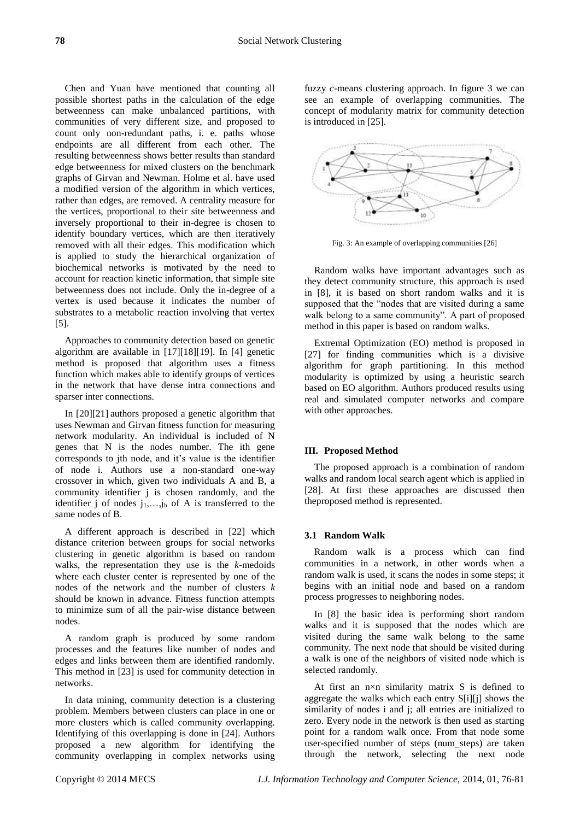Chen and Yuan have mentioned that counting all possible shortest paths in the calculation of the edge betweenness can make unbalanced partitions, with communities of very different size, and proposed to count only non-redundant paths, i. e. paths whose endpoints are all different from each other. The resulting betweenness shows better results than standard edge betweenness for mixed clusters on the benchmark graphs of Girvan and Newman. Holme et al. have used a modified version of the algorithm in which vertices, rather than edges, are removed. A centrality measure for the vertices, proportional to their site betweenness and inversely proportional to their in-degree is chosen to identify boundary vertices, which are then iteratively removed with all their edges. This modification which is applied to study the hierarchical organization of biochemical networks is motivated by the need to account for reaction kinetic information, that simple site betweenness does not include. Only the in-degree of a vertex is used because it indicates the number of substrates to a metabolic reaction involving that vertex [5].

Approaches to community detection based on genetic algorithm are available in [17][18][19]. In [4] genetic method is proposed that algorithm uses a fitness function which makes able to identify groups of vertices in the network that have dense intra connections and sparser inter connections.

In [20][21] authors proposed a genetic algorithm that uses Newman and Girvan fitness function for measuring network modularity. An individual is included of N genes that N is the nodes number. The ith gene corresponds to jth node, and it's value is the identifier of node i. Authors use a non-standard one-way crossover in which, given two individuals A and B, a community identifier j is chosen randomly, and the identifier j of nodes  $j_1,...,j_h$  of A is transferred to the same nodes of B.

A different approach is described in [22] which distance criterion between groups for social networks clustering in genetic algorithm is based on random walks, the representation they use is the *k*-medoids where each cluster center is represented by one of the nodes of the network and the number of clusters *k* should be known in advance. Fitness function attempts to minimize sum of all the pair-wise distance between nodes.

A random graph is produced by some random processes and the features like number of nodes and edges and links between them are identified randomly. This method in [23] is used for community detection in networks.

In data mining, community detection is a clustering problem. Members between clusters can place in one or more clusters which is called community overlapping. Identifying of this overlapping is done in [24]. Authors proposed a new algorithm for identifying the community overlapping in complex networks using fuzzy *c*-means clustering approach. In figure 3 we can see an example of overlapping communities. The concept of modularity matrix for community detection is introduced in [25].



Fig. 3: An example of overlapping communities [26]

Random walks have important advantages such as they detect community structure, this approach is used in [8], it is based on short random walks and it is supposed that the "nodes that are visited during a same walk belong to a same community". A part of proposed method in this paper is based on random walks.

Extremal Optimization (EO) method is proposed in [27] for finding communities which is a divisive algorithm for graph partitioning. In this method modularity is optimized by using a heuristic search based on EO algorithm. Authors produced results using real and simulated computer networks and compare with other approaches.

#### **III. Proposed Method**

The proposed approach is a combination of random walks and random local search agent which is applied in [28]. At first these approaches are discussed then theproposed method is represented.

#### **3.1 Random Walk**

Random walk is a process which can find communities in a network, in other words when a random walk is used, it scans the nodes in some steps; it begins with an initial node and based on a random process progresses to neighboring nodes.

In [8] the basic idea is performing short random walks and it is supposed that the nodes which are visited during the same walk belong to the same community. The next node that should be visited during a walk is one of the neighbors of visited node which is selected randomly.

At first an  $n \times n$  similarity matrix S is defined to aggregate the walks which each entry S[i][j] shows the similarity of nodes i and j; all entries are initialized to zero. Every node in the network is then used as starting point for a random walk once. From that node some user-specified number of steps (num\_steps) are taken through the network, selecting the next node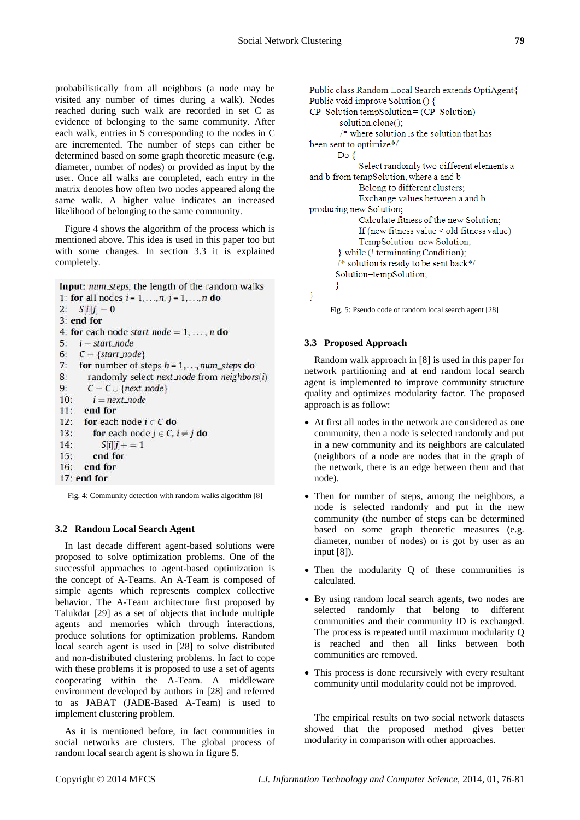probabilistically from all neighbors (a node may be visited any number of times during a walk). Nodes reached during such walk are recorded in set C as evidence of belonging to the same community. After each walk, entries in S corresponding to the nodes in C are incremented. The number of steps can either be determined based on some graph theoretic measure (e.g. diameter, number of nodes) or provided as input by the user. Once all walks are completed, each entry in the matrix denotes how often two nodes appeared along the same walk. A higher value indicates an increased likelihood of belonging to the same community.

Figure 4 shows the algorithm of the process which is mentioned above. This idea is used in this paper too but with some changes. In section 3.3 it is explained completely.

Input: num\_steps, the length of the random walks 1: for all nodes  $i = 1, ..., n, j = 1, ..., n$  do 2:  $S[i][j] = 0$ 3: end for 4: for each node start node =  $1, \ldots, n$  do 5:  $i = start\_node$ 6:  $C = \{start\_node\}$  $7:$ for number of steps  $h = 1, \ldots, num\_steps$  do  $8:$ randomly select next node from neighbors(i)  $9:$  $C = C \cup \{next\_node\}$  $10:$  $i = next\_node$ end for  $11:$  $12.$ for each node  $i \in C$  do  $13:$ for each node  $j \in C$ ,  $i \neq j$  do  $14.$  $S[i][j]+1 = 1$  $15:$ end for 16: end for 17: end for

Fig. 4: Community detection with random walks algorithm [8]

## **3.2 Random Local Search Agent**

In last decade different agent-based solutions were proposed to solve optimization problems. One of the successful approaches to agent-based optimization is the concept of A-Teams. An A-Team is composed of simple agents which represents complex collective behavior. The A-Team architecture first proposed by Talukdar [29] as a set of objects that include multiple agents and memories which through interactions, produce solutions for optimization problems. Random local search agent is used in [28] to solve distributed and non-distributed clustering problems. In fact to cope with these problems it is proposed to use a set of agents cooperating within the A-Team. A middleware environment developed by authors in [28] and referred to as JABAT (JADE-Based A-Team) is used to implement clustering problem.

As it is mentioned before, in fact communities in social networks are clusters. The global process of random local search agent is shown in figure 5.

```
Public class Random Local Search extends OptiAgent{
Public void improve Solution () {
CP Solution tempSolution = (CP Solution)
       solution.clone();
       /* where solution is the solution that has
been sent to optimize*/
      Do\{Select randomly two different elements a
and b from tempSolution, where a and b
            Belong to different clusters;
            Exchange values between a and b
producing new Solution;
            Calculate fitness of the new Solution;
            If (new fitness value < old fitness value)
            TempSolution=new Solution;
       while (! terminating Condition);
       /* solution is ready to be sent back*/
      Solution=tempSolution;
      ł
}
```
Fig. 5: Pseudo code of random local search agent [28]

#### **3.3 Proposed Approach**

Random walk approach in [8] is used in this paper for network partitioning and at end random local search agent is implemented to improve community structure quality and optimizes modularity factor. The proposed approach is as follow:

- At first all nodes in the network are considered as one community, then a node is selected randomly and put in a new community and its neighbors are calculated (neighbors of a node are nodes that in the graph of the network, there is an edge between them and that node).
- Then for number of steps, among the neighbors, a node is selected randomly and put in the new community (the number of steps can be determined based on some graph theoretic measures (e.g. diameter, number of nodes) or is got by user as an input [8]).
- Then the modularity Q of these communities is calculated.
- By using random local search agents, two nodes are selected randomly that belong to different communities and their community ID is exchanged. The process is repeated until maximum modularity Q is reached and then all links between both communities are removed.
- This process is done recursively with every resultant community until modularity could not be improved.

The empirical results on two social network datasets showed that the proposed method gives better modularity in comparison with other approaches.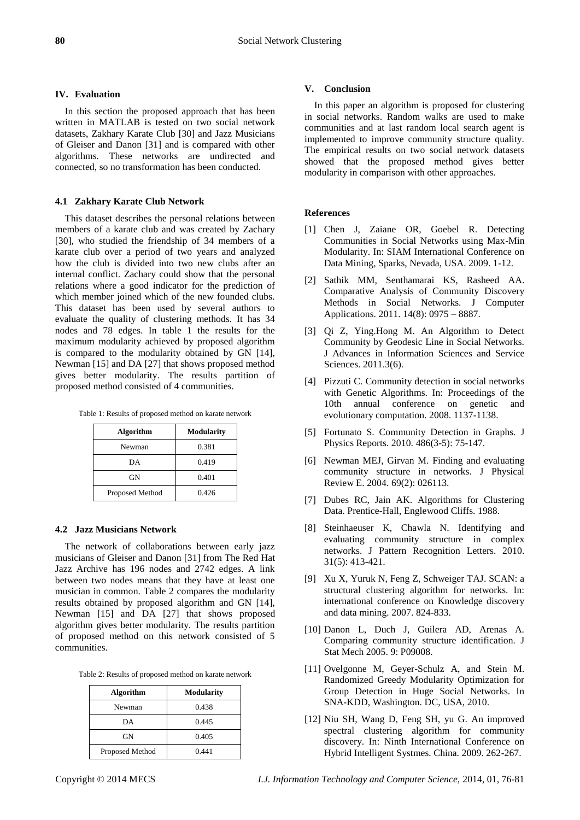# **IV. Evaluation**

In this section the proposed approach that has been written in MATLAB is tested on two social network datasets, Zakhary Karate Club [30] and Jazz Musicians of Gleiser and Danon [31] and is compared with other algorithms. These networks are undirected and connected, so no transformation has been conducted.

# **4.1 Zakhary Karate Club Network**

This dataset describes the personal relations between members of a karate club and was created by Zachary [30], who studied the friendship of 34 members of a karate club over a period of two years and analyzed how the club is divided into two new clubs after an internal conflict. Zachary could show that the personal relations where a good indicator for the prediction of which member joined which of the new founded clubs. This dataset has been used by several authors to evaluate the quality of clustering methods. It has 34 nodes and 78 edges. In table 1 the results for the maximum modularity achieved by proposed algorithm is compared to the modularity obtained by GN [14], Newman [15] and DA [27] that shows proposed method gives better modularity. The results partition of proposed method consisted of 4 communities.

| <b>Algorithm</b> | <b>Modularity</b> |
|------------------|-------------------|
| Newman           | 0.381             |
| DА               | 0.419             |
| GN               | 0.401             |
| Proposed Method  | 0.426             |

## **4.2 Jazz Musicians Network**

The network of collaborations between early jazz musicians of Gleiser and Danon [31] from The Red Hat Jazz Archive has 196 nodes and 2742 edges. A link between two nodes means that they have at least one musician in common. Table 2 compares the modularity results obtained by proposed algorithm and GN [14], Newman [15] and DA [27] that shows proposed algorithm gives better modularity. The results partition of proposed method on this network consisted of 5 communities.

| Table 2: Results of proposed method on karate network |  |  |  |
|-------------------------------------------------------|--|--|--|
|-------------------------------------------------------|--|--|--|

| <b>Algorithm</b> | <b>Modularity</b> |
|------------------|-------------------|
| Newman           | 0.438             |
| DА               | 0.445             |
| GN               | 0.405             |
| Proposed Method  | 0.441             |

## **V. Conclusion**

In this paper an algorithm is proposed for clustering in social networks. Random walks are used to make communities and at last random local search agent is implemented to improve community structure quality. The empirical results on two social network datasets showed that the proposed method gives better modularity in comparison with other approaches.

## **References**

- [1] Chen J, Zaiane OR, Goebel R. Detecting Communities in Social Networks using Max-Min Modularity. In: SIAM International Conference on Data Mining, Sparks, Nevada, USA. 2009. 1-12.
- [2] Sathik MM, Senthamarai KS, Rasheed AA. Comparative Analysis of Community Discovery Methods in Social Networks. J Computer Applications. 2011. 14(8): 0975 – 8887.
- [3] Qi Z, Ying.Hong M. An Algorithm to Detect Community by Geodesic Line in Social Networks. J Advances in Information Sciences and Service Sciences. 2011.3(6).
- [4] Pizzuti C. Community detection in social networks with Genetic Algorithms. In: Proceedings of the 10th annual conference on genetic and evolutionary computation. 2008. 1137-1138.
- [5] Fortunato S. Community Detection in Graphs. J Physics Reports. 2010. 486(3-5): 75-147.
- [6] Newman MEJ, Girvan M. Finding and evaluating community structure in networks. J Physical Review E. 2004. 69(2): 026113.
- [7] Dubes RC, Jain AK. Algorithms for Clustering Data. Prentice-Hall, Englewood Cliffs. 1988.
- [8] Steinhaeuser K, Chawla N. Identifying and evaluating community structure in complex networks. J Pattern Recognition Letters. 2010. 31(5): 413-421.
- [9] Xu X, Yuruk N, Feng Z, Schweiger TAJ. SCAN: a structural clustering algorithm for networks. In: international conference on Knowledge discovery and data mining. 2007. 824-833.
- [10] Danon L, Duch J, Guilera AD, Arenas A. Comparing community structure identification. J Stat Mech 2005. 9: P09008.
- [11] Ovelgonne M, Geyer-Schulz A, and Stein M. Randomized Greedy Modularity Optimization for Group Detection in Huge Social Networks. In SNA-KDD, Washington. DC, USA, 2010.
- [12] Niu SH, Wang D, Feng SH, yu G. An improved spectral clustering algorithm for community discovery. In: Ninth International Conference on Hybrid Intelligent Systmes. China. 2009. 262-267.